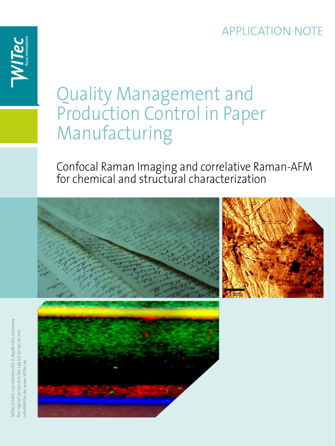### APPLICATION NOTE

# Quality Management and Production Control in Paper Manufacturing

Confocal Raman Imaging and correlative Raman-AFM for chemical and structural characterization



NITec GmbH, Lise-Meitner-Str. 6, 89081 Ulm, Germany WITec GmbH, Lise-Meitner-Str. 6, 89081 Ulm, Germany 001 +49 (0) 731 140 700, fax +49 (0) 731 140 70 200 fon +49 (0) 731 140 700, fax +49 (0) 731 140 70 200 nfo@WITec.de, www.WITec.de info@WITec.de, www.WITec.de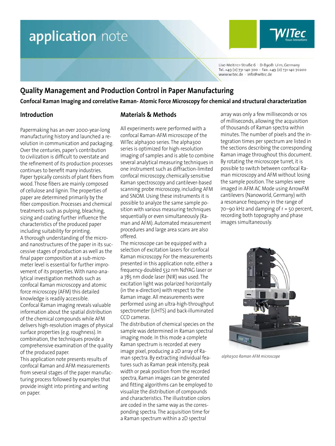

Lise-Meitner-Straße 6 · D-89081 Ulm, Germany Tel. +49 (0) 731 140 700 · Fax. +49 (0) 731 140 70200 www.witec.de - info@witec.de

### **Quality Management and Production Control in Paper Manufacturing**

**Confocal Raman Imaging and correlative Raman- Atomic Force Microscopy for chemical and structural characterization**

### **Introduction**

Papermaking has an over 2000-year-long manufacturing history and launched a revolution in communication and packaging. Over the centuries, paper's contribution to civilization is difficult to overstate and the refinement of its production processes continues to benefit many industries. Paper typically consists of plant fibers from wood. Those fibers are mainly composed of cellulose and lignin. The properties of paper are determined primarily by the fiber composition. Processes and chemical treatments such as pulping, bleaching, sizing and coating further influence the characteristics of the produced paper including suitability for printing. A thorough understanding of the microand nanostructures of the paper in its successive stages of production as well as the final paper composition at a sub-micrometer level is essential for further improvement of its properties. With nano-analytical investigation methods such as confocal Raman microscopy and atomic force microscopy (AFM) this detailed knowledge is readily accessible. Confocal Raman imaging reveals valuable information about the spatial distribution of the chemical compounds while AFM delivers high-resolution images of physical surface properties (e.g. roughness). In combination, the techniques provide a comprehensive examination of the quality of the produced paper.

This application note presents results of confocal Raman and AFM measurements from several stages of the paper manufacturing process followed by examples that provide insight into printing and writing on paper.

### **Materials & Methods**

All experiments were performed with a confocal Raman-AFM microscope of the WITec alpha300 series. The alpha300 series is optimized for high-resolution imaging of samples and is able to combine several analytical measuring techniques in one instrument such as diffraction-limited confocal microscopy, chemically sensitive Raman spectroscopy and cantilever-based scanning probe microscopy, including AFM and SNOM. Using these instruments it is possible to analyze the same sample position with various measuring techniques sequentially or even simultaneously (Raman and AFM). Automated measurement procedures and large area scans are also offered.

The microscope can be equipped with a selection of excitation lasers for confocal Raman microscopy. For the measurements presented in this application note, either a frequency-doubled 532 nm NdYAG laser or a 785 nm diode laser (NIR) was used. The excitation light was polarized horizontally (in the x-direction) with respect to the Raman image. All measurements were performed using an ultra-high-throughput spectrometer (UHTS) and back-illuminated CCD cameras.

The distribution of chemical species on the sample was determined in Raman spectral imaging mode. In this mode a complete Raman spectrum is recorded at every image pixel, producing a 2D array of Raman spectra. By extracting individual features such as Raman peak intensity, peak width or peak position from the recorded spectra, Raman images can be generated and fitting algorithms can be employed to visualize the distribution of compounds and characteristics. The illustration colors are coded in the same way as the corresponding spectra. The acquisition time for a Raman spectrum within a 2D spectral

array was only a few milliseconds or 10s of milliseconds, allowing the acquisition of thousands of Raman spectra within minutes. The number of pixels and the integration times per spectrum are listed in the sections describing the corresponding Raman image throughout this document. By rotating the microscope turret, it is possible to switch between confocal Raman microscopy and AFM without losing the sample position. The samples were imaged in AFM AC Mode using ArrowFM cantilevers (Nanoworld, Germany) with a resonance frequency in the range of 70–90 kHz and damping of r = 50 percent, recording both topography and phase images simultaneously.



*alpha300 Raman AFM microscope*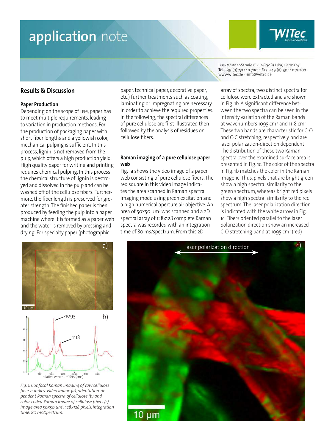### **Results & Discussion**

#### **Paper Production**

Depending on the scope of use, paper has to meet multiple requirements, leading to variation in production methods. For the production of packaging paper with short fiber lengths and a yellowish color, mechanical pulping is sufficient. In this process, lignin is not removed from the pulp, which offers a high production yield. High quality paper for writing and printing requires chemical pulping. In this process the chemical structure of lignin is destroyed and dissolved in the pulp and can be washed off of the cellulose fibers. Furthermore, the fiber length is preserved for greater strength. The finished paper is then produced by feeding the pulp into a paper machine where it is formed as a paper web and the water is removed by pressing and drying. For specialty paper (photographic

paper, technical paper, decorative paper, etc.) further treatments such as coating, laminating or impregnating are necessary in order to achieve the required properties. In the following, the spectral differences of pure cellulose are first illustrated then followed by the analysis of residues on cellulose fibers.

#### **Raman imaging of a pure cellulose paper web**

Fig. 1a shows the video image of a paper web consisting of pure cellulose fibers. The red square in this video image indicates the area scanned in Raman spectral imaging mode using green excitation and a high numerical aperture air objective. An area of 50x50 µm2 was scanned and a 2D spectral array of 128x128 complete Raman spectra was recorded with an integration time of 80 ms/spectrum. From this 2D

Lise-Meitner-Straße 6 · D-89081 Ulm, Germany Tel. +49 (0) 731 140 700 · Fax. +49 (0) 731 140 70200 www.witec.de - info@witec.de

array of spectra, two distinct spectra for cellulose were extracted and are shown in Fig. 1b. A significant difference between the two spectra can be seen in the intensity variation of the Raman bands at wavenumbers 1095  $cm<sup>-1</sup>$  and 1118  $cm<sup>-1</sup>$ . These two bands are characteristic for C-O and C-C stretching, respectively, and are laser polarization-direction dependent. The distribution of these two Raman spectra over the examined surface area is presented in Fig. 1c. The color of the spectra in Fig. 1b matches the color in the Raman image 1c. Thus, pixels that are bright green show a high spectral similarity to the green spectrum, whereas bright red pixels show a high spectral similarity to the red spectrum. The laser polarization direction is indicated with the white arrow in Fig. 1c. Fibers oriented parallel to the laser polarization direction show an increased C-O stretching band at 1095 cm-1 (red)





*Fig. 1: Confocal Raman imaging of raw cellulose fiber bundles. Video image (a), orientation-dependent Raman spectra of cellulose (b) and color-coded Raman image of cellulose fibers (c). Image area 50x50 µm2 , 128x128 pixels, integration time: 80 ms/spectrum.*

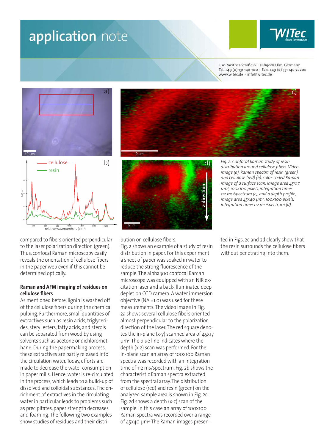

Lise-Meitner-Straße 6 · D-89081 Ulm, Germany Tel. +49 (0) 731 140 700 · Fax. +49 (0) 731 140 70200 www.witec.de - info@witec.de





compared to fibers oriented perpendicular to the laser polarization direction (green). Thus, confocal Raman microscopy easily reveals the orientation of cellulose fibers in the paper web even if this cannot be determined optically.

#### **Raman and AFM imaging of residues on cellulose fibers**

As mentioned before, lignin is washed off of the cellulose fibers during the chemical pulping. Furthermore, small quantities of extractives such as resin acids, triglycerides, steryl esters, fatty acids, and sterols can be separated from wood by using solvents such as acetone or dichloromethane. During the papermaking process, these extractives are partly released into the circulation water. Today, efforts are made to decrease the water consumption in paper mills. Hence, water is re-circulated in the process, which leads to a build-up of dissolved and colloidal substances. The enrichment of extractives in the circulating water in particular leads to problems such as precipitates, paper strength decreases and foaming. The following two examples show studies of residues and their distri-





bution on cellulose fibers.

Fig. 2 shows an example of a study of resin distribution in paper. For this experiment a sheet of paper was soaked in water to reduce the strong fluorescence of the sample. The alpha300 confocal Raman microscope was equipped with an NIR excitation laser and a back-illuminated deep depletion CCD camera. A water immersion objective (NA =1.0) was used for these measurements. The video image in Fig. 2a shows several cellulose fibers oriented almost perpendicular to the polarization direction of the laser. The red square denotes the in-plane (x-y) scanned area of 45x17 µm2 . The blue line indicates where the depth (x-z) scan was performed. For the in-plane scan an array of 100x100 Raman spectra was recorded with an integration time of 112 ms/spectrum. Fig. 2b shows the characteristic Raman spectra extracted from the spectral array. The distribution of cellulose (red) and resin (green) on the analyzed sample area is shown in Fig. 2c. Fig. 2d shows a depth (x-z) scan of the sample. In this case an array of 100x100 Raman spectra was recorded over a range of 45x40 um<sup>2</sup> The Raman images presen-

*Fig. 2: Confocal Raman study of resin distribution around cellulose fibers. Video image (a), Raman spectra of resin (green) and cellulose (red) (b), color-coded Raman image of a surface scan, image area 45x17 µm2 , 100x100 pixels, integration time: 112 ms/spectrum (c), and a depth profile, image area 45x40 µm<sup>2</sup> , 100x100 pixels, integration time: 112 ms/spectrum (d).*

ted in Figs. 2c and 2d clearly show that the resin surrounds the cellulose fibers without penetrating into them.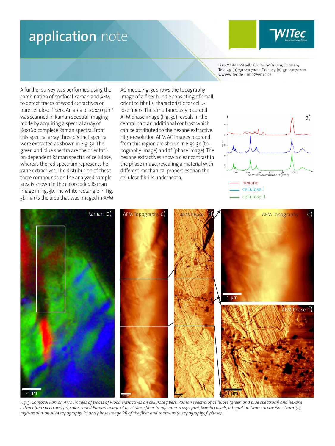

Lise-Meitner-Straße 6 · D-89081 Ulm, Germany Tel. +49 (0) 731 140 700 · Fax. +49 (0) 731 140 70200 www.witec.de - info@witec.de

A further survey was performed using the combination of confocal Raman and AFM to detect traces of wood extractives on pure cellulose fibers. An area of 20x40  $\mu$ m<sup>2</sup> was scanned in Raman spectral imaging mode by acquiring a spectral array of 80x160 complete Raman spectra. From this spectral array three distinct spectra were extracted as shown in Fig. 3a. The green and blue spectra are the orientation-dependent Raman spectra of cellulose, whereas the red spectrum represents hexane extractives. The distribution of these three compounds on the analyzed sample area is shown in the color-coded Raman image in Fig. 3b. The white rectangle in Fig. 3b marks the area that was imaged in AFM AC mode. Fig. 3c shows the topography image of a fiber bundle consisting of small, oriented fibrills, characteristic for cellulose fibers. The simultaneously recorded AFM phase image (Fig. 3d) reveals in the central part an additional contrast which can be attributed to the hexane extractive. High-resolution AFM AC images recorded from this region are shown in Figs. 3e (topography image) and 3f (phase image). The hexane extractives show a clear contrast in the phase image, revealing a material with different mechanical properties than the cellulose fibrills underneath.





*Fig. 3: Confocal Raman AFM images of traces of wood extractives on cellulose fibers: Raman spectra of cellulose (green and blue spectrum) and hexane extract (red spectrum) (a), color-coded Raman image of a cellulose fiber. Image area 20x40 µm<sup>2</sup> , 80x160 pixels, integration time: 100 ms/spectrum. (b), high-resolution AFM topography (c) and phase image (d) of the fiber and zoom-ins (e: topography; f: phase).*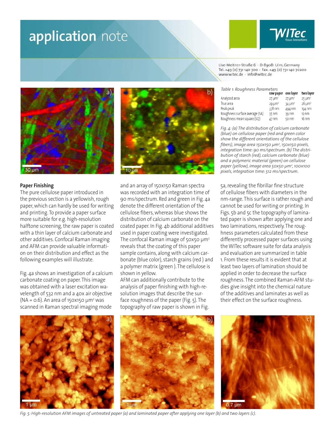



#### **Paper Finishing**

The pure cellulose paper introduced in the previous section is a yellowish, rough paper, which can hardly be used for writing and printing. To provide a paper surface more suitable for e.g. high-resolution halftone screening, the raw paper is coated with a thin layer of calcium carbonate and other additives. Confocal Raman imaging and AFM can provide valuable information on their distribution and effect as the following examples will illustrate.

Fig. 4a shows an investigation of a calcium carbonate coating on paper. This image was obtained with a laser excitation wavelength of 532 nm and a 40x air objective (NA =  $0.6$ ). An area of 150x150  $\mu$ m<sup>2</sup> was scanned in Raman spectral imaging mode

and an array of 150x150 Raman spectra was recorded with an integration time of 90 ms/spectrum. Red and green in Fig. 4a denote the different orientation of the cellulose fibers, whereas blue shows the distribution of calcium carbonate on the coated paper. In Fig. 4b additional additives used in paper coating were investigated. The confocal Raman image of 50x50  $\mu$ m<sup>2</sup> reveals that the coating of this paper sample contains, along with calcium carbonate (blue color), starch grains (red ) and a polymer matrix (green ). The cellulose is shown in yellow.

AFM can additionally contribute to the analysis of paper finishing with high-resolution images that describe the surface roughness of the paper (Fig. 5). The topography of raw paper is shown in Fig. Lise-Meitner-Straße 6 · D-89081 Ulm, Germany Tel. +49 (0) 731 140 700 · Fax. +49 (0) 731 140 70200 www.witec.de - info@witec.de

*Table 1: Roughness Parameters*

|                                | raw paper    | one layer    | two lay      |
|--------------------------------|--------------|--------------|--------------|
| Analyzed area                  | $27 \mu m^2$ | $27 \mu m^2$ | $25 \mu m^2$ |
| True area                      | $29 \mu m^2$ | $34 \mu m^2$ | $26 \mu m^2$ |
| Peak-peak                      | 378 nm       | 494 nm       | 194 nm       |
| Roughness surface average (SA) | 35 nm        | 39 nm        | 12 nm        |
| Roughness mean square (SO)     | 47 nm        | 50 nm        | 16 nm        |

*Fig. 4: (a) The distribution of calcium carbonate (blue) on cellulose paper (red and green color show the different orientations of the cellulose fibers), image area 150x150 µm<sup>2</sup> , 150x150 pixels, integration time: 90 ms/spectrum. (b) The distribution of starch (red), calcium carbonate (blue) and a polymeric material (green) on cellulose paper (yellow), image area 50x50 µm<sup>2</sup> , 100x100 pixels, integration time: 512 ms/spectrum.*

5a, revealing the fibrillar fine structure of cellulose fibers with diameters in the nm-range. This surface is rather rough and cannot be used for writing or printing. In Figs. 5b and 5c the topography of laminated paper is shown after applying one and two laminations, respectively. The roughness parameters calculated from these differently processed paper surfaces using the WITec software suite for data analysis and evaluation are summarized in table 1. From these results it is evident that at least two layers of lamination should be applied in order to decrease the surface roughness. The combined Raman-AFM studies give insight into the chemical nature of the additives and laminates as well as their effect on the surface roughness.







*Fig. 5: High-resolution AFM images of untreated paper (a) and laminated paper after applying one layer (b) and two layers (c).*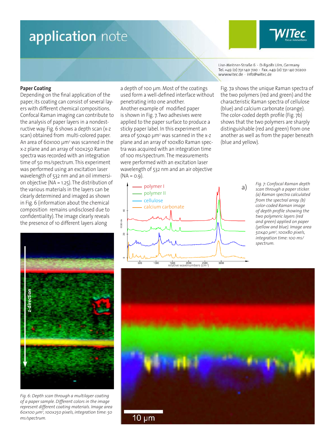#### **Paper Coating**

Depending on the final application of the paper, its coating can consist of several layers with different chemical compositions. Confocal Raman imaging can contribute to the analysis of paper layers in a nondestructive way. Fig. 6 shows a depth scan (x-z scan) obtained from multi-colored paper. An area of 60x100 µm<sup>2</sup> was scanned in the x-z plane and an array of 100x250 Raman spectra was recorded with an integration time of 50 ms/spectrum. This experiment was performed using an excitation laser wavelength of 532 nm and an oil immersion objective (NA = 1.25). The distribution of the various materials in the layers can be clearly determined and imaged as shown in Fig. 6 (information about the chemical composition remains undisclosed due to confidentiality). The image clearly reveals the presence of 10 different layers along

**z-direction** z-direction

*Fig. 6: Depth scan through a multilayer coating of a paper sample. Different colors in the image represent different coating materials. Image area 60x100 µm<sup>2</sup> , 100x250 pixels, integration time: 50 ms/spectrum.*

a depth of 100 µm. Most of the coatings used form a well-defined interface without penetrating into one another. Another example of modified paper is shown in Fig. 7. Two adhesives were applied to the paper surface to produce a sticky paper label. In this experiment an area of 50 $x$ 40  $\mu$ m<sup>2</sup> was scanned in the x-z plane and an array of 100x80 Raman spectra was acquired with an integration time of 100 ms/spectrum. The measurements were performed with an excitation laser wavelength of 532 nm and an air objective  $(NA = 0.9)$ .

Lise-Meitner-Straße 6 · D-89081 Ulm, Germany Tel. +49 (0) 731 140 700 · Fax. +49 (0) 731 140 70200 www.witec.de - info@witec.de

Fig. 7a shows the unique Raman spectra of the two polymers (red and green) and the characteristic Raman spectra of cellulose (blue) and calcium carbonate (orange). The color-coded depth profile (Fig. 7b) shows that the two polymers are sharply distinguishable (red and green) from one another as well as from the paper beneath (blue and yellow).



*Fig. 7: Confocal Raman depth scan through a paper sticker. (a) Raman spectra calculated from the spectral array. (b) color-coded Raman image of depth profile showing the two polymeric layers (red and green) applied on paper (yellow and blue). Image area 50x40 µm<sup>2</sup> , 100x80 pixels, integration time: 100 ms/ spectrum.*